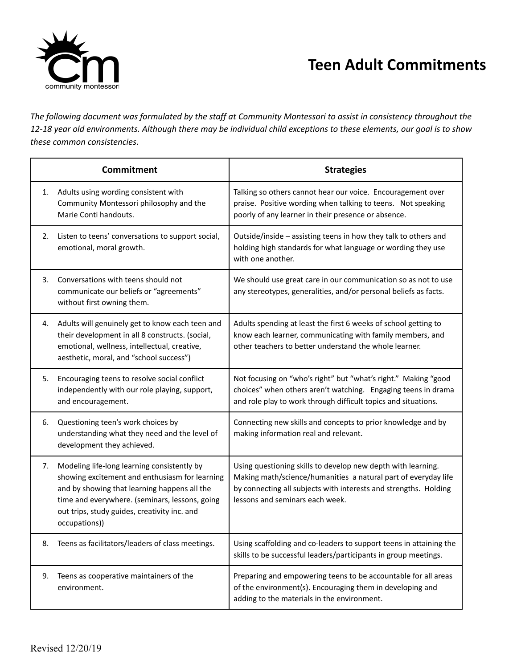

## **Teen Adult Commitments**

The following document was formulated by the staff at Community Montessori to assist in consistency throughout the 12-18 year old environments. Although there may be individual child exceptions to these elements, our goal is to show *these common consistencies.*

| Commitment |                                                                                                                                                                                                                                                                  | <b>Strategies</b>                                                                                                                                                                                                                     |
|------------|------------------------------------------------------------------------------------------------------------------------------------------------------------------------------------------------------------------------------------------------------------------|---------------------------------------------------------------------------------------------------------------------------------------------------------------------------------------------------------------------------------------|
| 1.         | Adults using wording consistent with<br>Community Montessori philosophy and the<br>Marie Conti handouts.                                                                                                                                                         | Talking so others cannot hear our voice. Encouragement over<br>praise. Positive wording when talking to teens. Not speaking<br>poorly of any learner in their presence or absence.                                                    |
| 2.         | Listen to teens' conversations to support social,<br>emotional, moral growth.                                                                                                                                                                                    | Outside/inside - assisting teens in how they talk to others and<br>holding high standards for what language or wording they use<br>with one another.                                                                                  |
| 3.         | Conversations with teens should not<br>communicate our beliefs or "agreements"<br>without first owning them.                                                                                                                                                     | We should use great care in our communication so as not to use<br>any stereotypes, generalities, and/or personal beliefs as facts.                                                                                                    |
| 4.         | Adults will genuinely get to know each teen and<br>their development in all 8 constructs. (social,<br>emotional, wellness, intellectual, creative,<br>aesthetic, moral, and "school success")                                                                    | Adults spending at least the first 6 weeks of school getting to<br>know each learner, communicating with family members, and<br>other teachers to better understand the whole learner.                                                |
| 5.         | Encouraging teens to resolve social conflict<br>independently with our role playing, support,<br>and encouragement.                                                                                                                                              | Not focusing on "who's right" but "what's right." Making "good<br>choices" when others aren't watching. Engaging teens in drama<br>and role play to work through difficult topics and situations.                                     |
| 6.         | Questioning teen's work choices by<br>understanding what they need and the level of<br>development they achieved.                                                                                                                                                | Connecting new skills and concepts to prior knowledge and by<br>making information real and relevant.                                                                                                                                 |
| 7.         | Modeling life-long learning consistently by<br>showing excitement and enthusiasm for learning<br>and by showing that learning happens all the<br>time and everywhere. (seminars, lessons, going<br>out trips, study guides, creativity inc. and<br>occupations)) | Using questioning skills to develop new depth with learning.<br>Making math/science/humanities a natural part of everyday life<br>by connecting all subjects with interests and strengths. Holding<br>lessons and seminars each week. |
| 8.         | Teens as facilitators/leaders of class meetings.                                                                                                                                                                                                                 | Using scaffolding and co-leaders to support teens in attaining the<br>skills to be successful leaders/participants in group meetings.                                                                                                 |
| 9.         | Teens as cooperative maintainers of the<br>environment.                                                                                                                                                                                                          | Preparing and empowering teens to be accountable for all areas<br>of the environment(s). Encouraging them in developing and<br>adding to the materials in the environment.                                                            |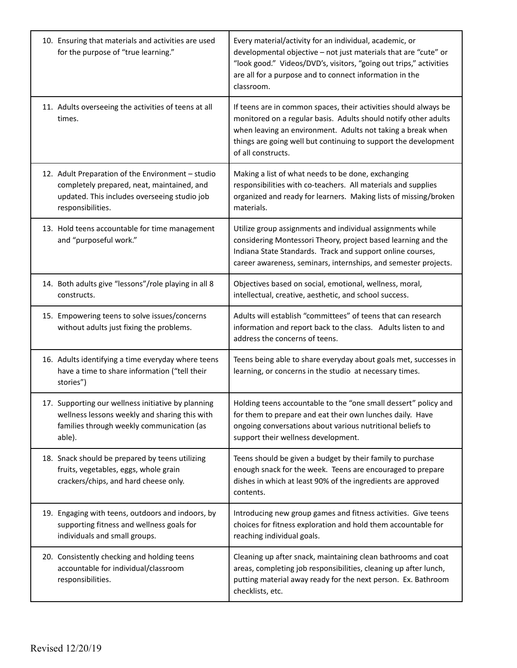| 10. Ensuring that materials and activities are used<br>for the purpose of "true learning."                                                                           | Every material/activity for an individual, academic, or<br>developmental objective - not just materials that are "cute" or<br>"look good." Videos/DVD's, visitors, "going out trips," activities<br>are all for a purpose and to connect information in the<br>classroom.                   |
|----------------------------------------------------------------------------------------------------------------------------------------------------------------------|---------------------------------------------------------------------------------------------------------------------------------------------------------------------------------------------------------------------------------------------------------------------------------------------|
| 11. Adults overseeing the activities of teens at all<br>times.                                                                                                       | If teens are in common spaces, their activities should always be<br>monitored on a regular basis. Adults should notify other adults<br>when leaving an environment. Adults not taking a break when<br>things are going well but continuing to support the development<br>of all constructs. |
| 12. Adult Preparation of the Environment - studio<br>completely prepared, neat, maintained, and<br>updated. This includes overseeing studio job<br>responsibilities. | Making a list of what needs to be done, exchanging<br>responsibilities with co-teachers. All materials and supplies<br>organized and ready for learners. Making lists of missing/broken<br>materials.                                                                                       |
| 13. Hold teens accountable for time management<br>and "purposeful work."                                                                                             | Utilize group assignments and individual assignments while<br>considering Montessori Theory, project based learning and the<br>Indiana State Standards. Track and support online courses,<br>career awareness, seminars, internships, and semester projects.                                |
| 14. Both adults give "lessons"/role playing in all 8<br>constructs.                                                                                                  | Objectives based on social, emotional, wellness, moral,<br>intellectual, creative, aesthetic, and school success.                                                                                                                                                                           |
| 15. Empowering teens to solve issues/concerns<br>without adults just fixing the problems.                                                                            | Adults will establish "committees" of teens that can research<br>information and report back to the class. Adults listen to and<br>address the concerns of teens.                                                                                                                           |
| 16. Adults identifying a time everyday where teens<br>have a time to share information ("tell their<br>stories")                                                     | Teens being able to share everyday about goals met, successes in<br>learning, or concerns in the studio at necessary times.                                                                                                                                                                 |
| 17. Supporting our wellness initiative by planning<br>wellness lessons weekly and sharing this with<br>families through weekly communication (as<br>able).           | Holding teens accountable to the "one small dessert" policy and<br>for them to prepare and eat their own lunches daily. Have<br>ongoing conversations about various nutritional beliefs to<br>support their wellness development.                                                           |
| 18. Snack should be prepared by teens utilizing<br>fruits, vegetables, eggs, whole grain<br>crackers/chips, and hard cheese only.                                    | Teens should be given a budget by their family to purchase<br>enough snack for the week. Teens are encouraged to prepare<br>dishes in which at least 90% of the ingredients are approved<br>contents.                                                                                       |
| 19. Engaging with teens, outdoors and indoors, by<br>supporting fitness and wellness goals for<br>individuals and small groups.                                      | Introducing new group games and fitness activities. Give teens<br>choices for fitness exploration and hold them accountable for<br>reaching individual goals.                                                                                                                               |
| 20. Consistently checking and holding teens<br>accountable for individual/classroom<br>responsibilities.                                                             | Cleaning up after snack, maintaining clean bathrooms and coat<br>areas, completing job responsibilities, cleaning up after lunch,<br>putting material away ready for the next person. Ex. Bathroom<br>checklists, etc.                                                                      |